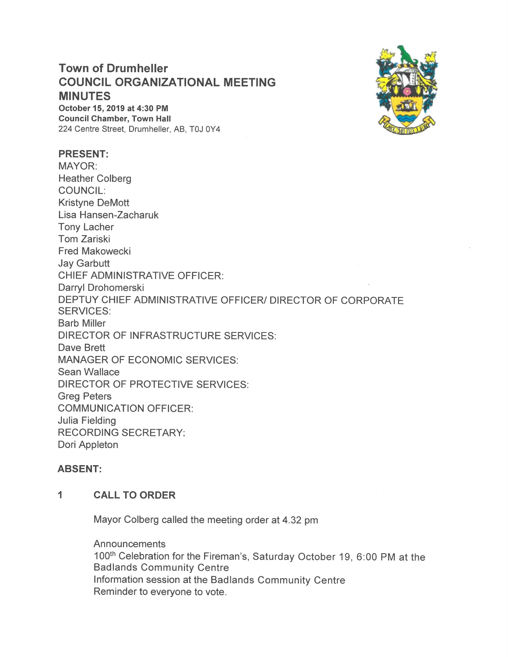# **Town of Drumheller COUNCIL ORGANIZATIONAL MEETING MINUTES**

October 15, 2019 at 4:30 PM **Council Chamber, Town Hall** 224 Centre Street, Drumheller, AB, T0J 0Y4

### **PRESENT:**

MAYOR: **Heather Colberg COUNCIL: Kristyne DeMott** Lisa Hansen-Zacharuk **Tony Lacher Tom Zariski Fred Makowecki Jay Garbutt CHIEF ADMINISTRATIVE OFFICER:** Darryl Drohomerski DEPTUY CHIEF ADMINISTRATIVE OFFICER/ DIRECTOR OF CORPORATE **SERVICES: Barb Miller DIRECTOR OF INFRASTRUCTURE SERVICES:** Dave Brett **MANAGER OF ECONOMIC SERVICES:** Sean Wallace **DIRECTOR OF PROTECTIVE SERVICES: Greg Peters COMMUNICATION OFFICER: Julia Fielding RECORDING SECRETARY:** Dori Appleton

### **ABSENT:**

#### 1 **CALL TO ORDER**

Mayor Colberg called the meeting order at 4.32 pm

Announcements 100th Celebration for the Fireman's, Saturday October 19, 6:00 PM at the **Badlands Community Centre** Information session at the Badlands Community Centre Reminder to everyone to vote.

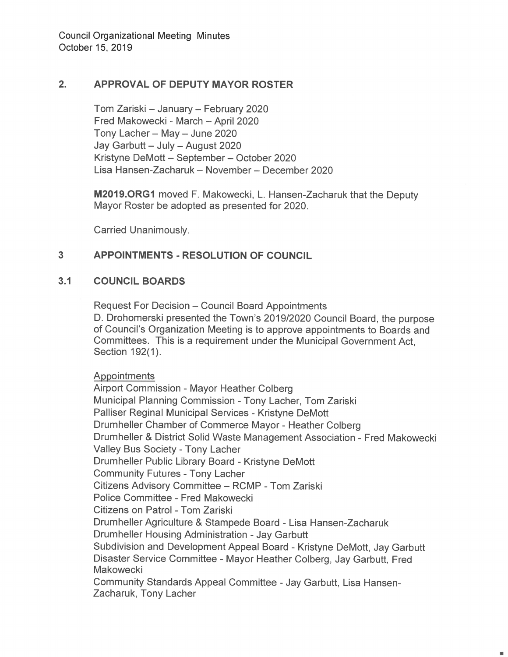#### $2.$ **APPROVAL OF DEPUTY MAYOR ROSTER**

Tom Zariski - January - February 2020 Fred Makowecki - March - April 2020 Tony Lacher - May - June 2020 Jay Garbutt - July - August 2020 Kristyne DeMott - September - October 2020 Lisa Hansen-Zacharuk - November - December 2020

M2019.ORG1 moved F. Makowecki, L. Hansen-Zacharuk that the Deputy Mayor Roster be adopted as presented for 2020.

Carried Unanimously.

#### $3<sup>1</sup>$ **APPOINTMENTS - RESOLUTION OF COUNCIL**

#### $3.1$ **COUNCIL BOARDS**

**Request For Decision - Council Board Appointments** D. Drohomerski presented the Town's 2019/2020 Council Board, the purpose of Council's Organization Meeting is to approve appointments to Boards and Committees. This is a requirement under the Municipal Government Act. Section 192(1).

**Appointments** 

Airport Commission - Mayor Heather Colberg Municipal Planning Commission - Tony Lacher, Tom Zariski Palliser Reginal Municipal Services - Kristyne DeMott Drumheller Chamber of Commerce Mayor - Heather Colberg Drumheller & District Solid Waste Management Association - Fred Makowecki Valley Bus Society - Tony Lacher Drumheller Public Library Board - Kristyne DeMott **Community Futures - Tony Lacher** Citizens Advisory Committee - RCMP - Tom Zariski Police Committee - Fred Makowecki Citizens on Patrol - Tom Zariski Drumheller Agriculture & Stampede Board - Lisa Hansen-Zacharuk Drumheller Housing Administration - Jay Garbutt Subdivision and Development Appeal Board - Kristyne DeMott, Jay Garbutt Disaster Service Committee - Mayor Heather Colberg, Jay Garbutt, Fred Makowecki Community Standards Appeal Committee - Jay Garbutt, Lisa Hansen-Zacharuk, Tony Lacher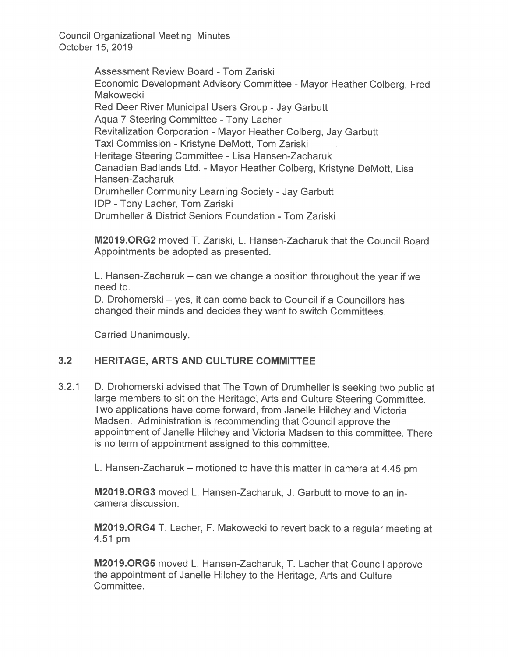> Assessment Review Board - Tom Zariski Economic Development Advisory Committee- Mayor Heather Colberg, Fred **Makowecki** Red Deer River Municipal Users Group - Jay Garbutt Aqua 7 Steering Committee - Tony Lacher Revitalization Corporation - Mayor Heather Colberg, Jay Garbutt Taxi Commission - Kristyne DeMott, Tom Zariski Heritage Steering Committee - Lisa Hansen-Zacharuk Canadian Badlands Ltd. - Mayor Heather Colberg, Kristyne DeMott, Lisa Hansen-Zacharuk Drumheller Community Learning Society — Jay Garbutt IDP - Tony Lacher, Tom Zariski Drumheller & District Seniors Foundation - Tom Zariski

> **M2019.ORG2** moved T. Zariski, L. Hansen-Zacharuk that the Council Board Appointments be adopted as presented.

L. Hansen-Zacharuk  $-$  can we change a position throughout the year if we need to.

D. Drohomerski — yes, it can come back to Council if a Councillors has changed their minds and decides they want to switch Committees.

Carried Unanimously.

#### 3.2 HERITAGE, ARTS AND CULTURE COMMITTEE

3.2.1 D. Drohomerski advised that The Town of Drumheller is seeking two public at large members to sit on the Heritage; Arts and Culture Steering Committee. Two applications have come forward, from Janelle Hilchey and Victoria Madsen. Administration is recommending that Council approve the appointment of Janelle Hilchey and Victoria Madsen to this committee. There is no term of appointment assigned to this committee.

L. Hansen-Zacharuk – motioned to have this matter in camera at 4.45 pm

M2019.0RG3 moved L. Hansen-Zacharuk, J. Garbutt to move to an incamera discussion.

M2019.0RG4 T. Lacher, F. Makowecki to revert back to a regular meeting at 4.51 pm

M2019.ORG5 moved L. Hansen-Zacharuk, T. Lacher that Council approve the appointment of Janelle Hilchey to the Heritage, Arts and Culture Committee.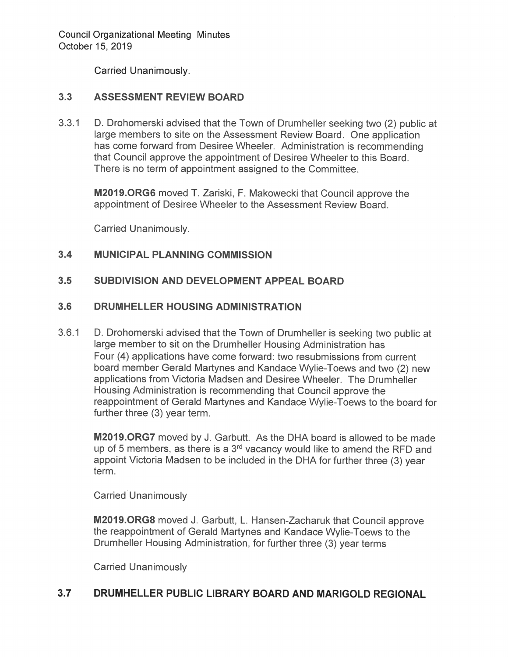Carried Unanimously.

# 3.3 ASSESSMENT REVIEW BOARD

3.3.1 D. Drohomerski advised that the Town of Drumheller seeking two (2) public at large members to site on the Assessment Review Board. One application has come forward from Desiree Wheeler. Administration is recommending that Council approve the appointment of Desiree Wheeler to this Board. There is no term of appointment assigned to the Committee.

M2019.0RG6 moved T. Zariski, F. Makowecki that Council approve the appointment of Desiree Wheeler to the Assessment Review Board.

Carried Unanimously.

#### $3.4$ **MUNICIPAL PLANNING COMMISSION**

#### $3.5$ **SUBDIVISION AND DEVELOPMENT APPEAL BOARD**

#### $3.6$ DRUMHELLER HOUSING ADMINISTRATION

D. Drohomerski advised that the Town of Drumheller is seeking two public at  $3.6.1$ large member to sit on the Drumheller Housing Administration has Four (4) applications have come forward: two resubmissions from current board member Gerald Martynes and Kandace Wylie-Toews and two (2) new applications from Victoria Madsen and Desiree Wheeler. The Drumheller Housing Administration is recommending that Council approve the reappointment of Gerald Martynes and Kandace Wylie-Toews to the board for further three (3) year term.

M2019.ORG7 moved by J. Garbutt. As the DHA board is allowed to be made up of 5 members, as there is a  $3<sup>rd</sup>$  vacancy would like to amend the RFD and appoint Victoria Madsen to be included in the DHA for further three (3) year term.

**Carried Unanimously** 

M2019.ORG8 moved J. Garbutt, L. Hansen-Zacharuk that Council approve the reappointment of Gerald Martynes and Kandace Wylie-Toews to the Drumheller Housing Administration, for further three (3) year terms

**Carried Unanimously** 

#### $3.7$ DRUMHELLER PUBLIC LIBRARY BOARD AND MARIGOLD REGIONAL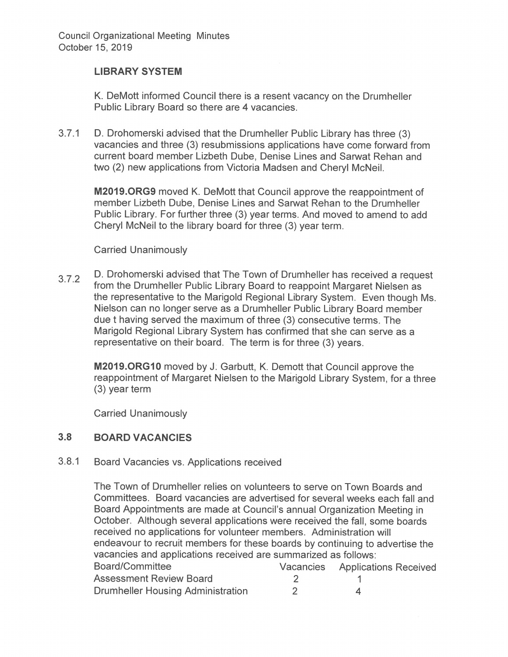# **LIBRARY SYSTEM**

K. DeMott informed Council there is a resent vacancy on the Drumheller Public Library Board so there are 4 vacancies.

 $3.7.1$ D. Drohomerski advised that the Drumheller Public Library has three (3) vacancies and three (3) resubmissions applications have come forward from current board member Lizbeth Dube. Denise Lines and Sarwat Rehan and two (2) new applications from Victoria Madsen and Cheryl McNeil.

M2019.ORG9 moved K. DeMott that Council approve the reappointment of member Lizbeth Dube, Denise Lines and Sarwat Rehan to the Drumheller Public Library. For further three (3) year terms. And moved to amend to add Cheryl McNeil to the library board for three (3) year term.

## **Carried Unanimously**

D. Drohomerski advised that The Town of Drumheller has received a request  $3.7.2$ from the Drumheller Public Library Board to reappoint Margaret Nielsen as the representative to the Marigold Regional Library System. Even though Ms. Nielson can no longer serve as a Drumheller Public Library Board member due t having served the maximum of three (3) consecutive terms. The Marigold Regional Library System has confirmed that she can serve as a representative on their board. The term is for three (3) years.

**M2019.ORG10** moved by J. Garbutt, K. Demott that Council approve the reappointment of Margaret Nielsen to the Marigold Library System, for a three  $(3)$  year term

**Carried Unanimously** 

#### $3.8$ **BOARD VACANCIES**

#### $3.8.1$ Board Vacancies vs. Applications received

The Town of Drumheller relies on volunteers to serve on Town Boards and Committees. Board vacancies are advertised for several weeks each fall and Board Appointments are made at Council's annual Organization Meeting in October. Although several applications were received the fall, some boards received no applications for volunteer members. Administration will endeavour to recruit members for these boards by continuing to advertise the vacancies and applications received are summarized as follows: Board/Committee Vacancies **Applications Received Assessment Review Board**  $2^{\circ}$  $\mathbf{1}$ **Drumheller Housing Administration**  $\overline{2}$  $\blacktriangle$